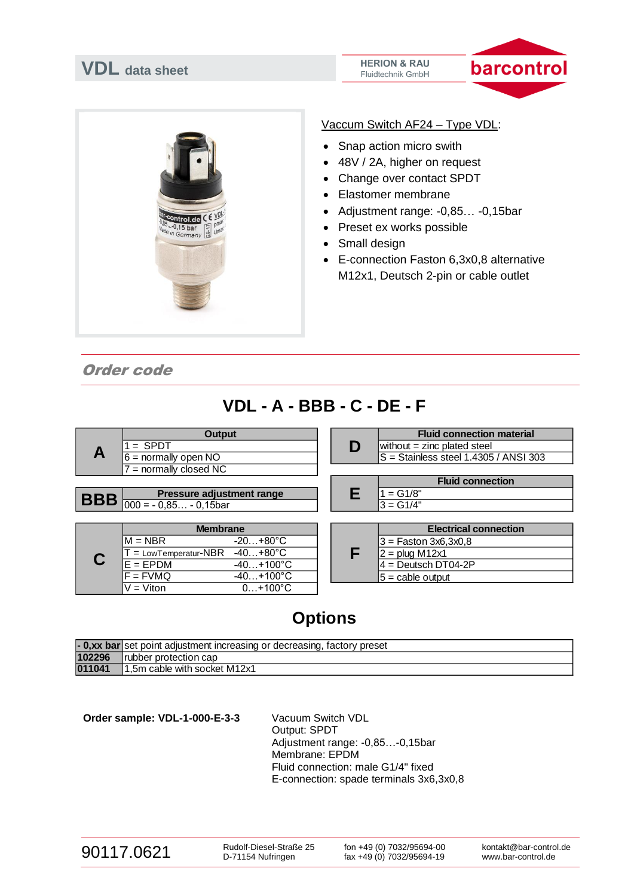



Vaccum Switch AF24 – Type VDL:

- Snap action micro swith
- 48V / 2A, higher on request
- Change over contact SPDT
- Elastomer membrane
- Adjustment range: -0,85… -0,15bar
- Preset ex works possible
- Small design
- E-connection Faston 6,3x0,8 alternative M12x1, Deutsch 2-pin or cable outlet

## Order code

| $VDL - A - BBB - C - DE - F$ |  |
|------------------------------|--|
|                              |  |

| A          | <b>Output</b><br>$=$ SPDT<br>$6 =$ normally open NO<br>$=$ normally closed NC                                                                                                                             |  | D | <b>Fluid connection material</b><br>without $=$ zinc plated steel<br>$S =$ Stainless steel 1.4305 / ANSI 303                |
|------------|-----------------------------------------------------------------------------------------------------------------------------------------------------------------------------------------------------------|--|---|-----------------------------------------------------------------------------------------------------------------------------|
| <b>BBB</b> | Pressure adjustment range<br>$\overline{000}$ = - 0,85 - 0,15bar                                                                                                                                          |  | Е | <b>Fluid connection</b><br>$=$ G1/8"<br>$3 = G1/4"$                                                                         |
|            | <b>Membrane</b><br>$M = NBR$<br>$-20+80^{\circ}C$<br>$-40+80^{\circ}C$<br>= LowTemperatur-NBR<br>$E = EPDM$<br>$-40+100^{\circ}C$<br>$F = FVMQ$<br>$-40+100^{\circ}C$<br>$0+100^{\circ}C$<br>$V = V$ iton |  | F | <b>Electrical connection</b><br>$3 =$ Faston 3x6, 3x0, 8<br>$2 = plug M12x1$<br>$4 =$ Deutsch DT04-2P<br>$5 =$ cable output |

## **Options**

|        | - <b>0,xx bar</b> set point adjustment increasing or decreasing, factory preset |
|--------|---------------------------------------------------------------------------------|
| 102296 | Irubber protection cap                                                          |
| 011041 | 1.5m cable with socket M12x1                                                    |

**Order sample: VDL-1-000-E-3-3** Vacuum Switch VDL Output: SPDT Adjustment range: -0,85…-0,15bar Membrane: EPDM Fluid connection: male G1/4" fixed E-connection: spade terminals 3x6,3x0,8